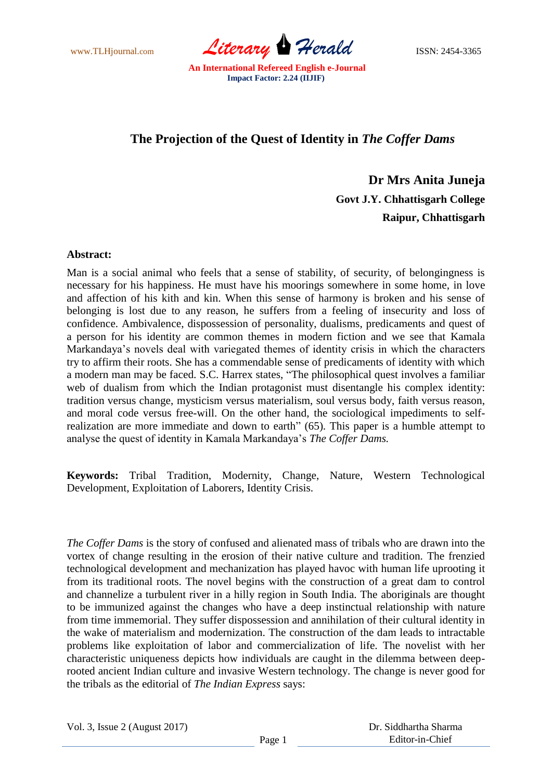www.TLHjournal.com *Literary Herald* ISSN: 2454-3365

## **The Projection of the Quest of Identity in** *The Coffer Dams*

 **Dr Mrs Anita Juneja Govt J.Y. Chhattisgarh College Raipur, Chhattisgarh**

## **Abstract:**

Man is a social animal who feels that a sense of stability, of security, of belongingness is necessary for his happiness. He must have his moorings somewhere in some home, in love and affection of his kith and kin. When this sense of harmony is broken and his sense of belonging is lost due to any reason, he suffers from a feeling of insecurity and loss of confidence. Ambivalence, dispossession of personality, dualisms, predicaments and quest of a person for his identity are common themes in modern fiction and we see that Kamala Markandaya's novels deal with variegated themes of identity crisis in which the characters try to affirm their roots. She has a commendable sense of predicaments of identity with which a modern man may be faced. S.C. Harrex states, "The philosophical quest involves a familiar web of dualism from which the Indian protagonist must disentangle his complex identity: tradition versus change, mysticism versus materialism, soul versus body, faith versus reason, and moral code versus free-will. On the other hand, the sociological impediments to selfrealization are more immediate and down to earth" (65). This paper is a humble attempt to analyse the quest of identity in Kamala Markandaya's *The Coffer Dams.*

**Keywords:** Tribal Tradition, Modernity, Change, Nature, Western Technological Development, Exploitation of Laborers, Identity Crisis.

*The Coffer Dams* is the story of confused and alienated mass of tribals who are drawn into the vortex of change resulting in the erosion of their native culture and tradition. The frenzied technological development and mechanization has played havoc with human life uprooting it from its traditional roots. The novel begins with the construction of a great dam to control and channelize a turbulent river in a hilly region in South India. The aboriginals are thought to be immunized against the changes who have a deep instinctual relationship with nature from time immemorial. They suffer dispossession and annihilation of their cultural identity in the wake of materialism and modernization. The construction of the dam leads to intractable problems like exploitation of labor and commercialization of life. The novelist with her characteristic uniqueness depicts how individuals are caught in the dilemma between deeprooted ancient Indian culture and invasive Western technology. The change is never good for the tribals as the editorial of *The Indian Express* says: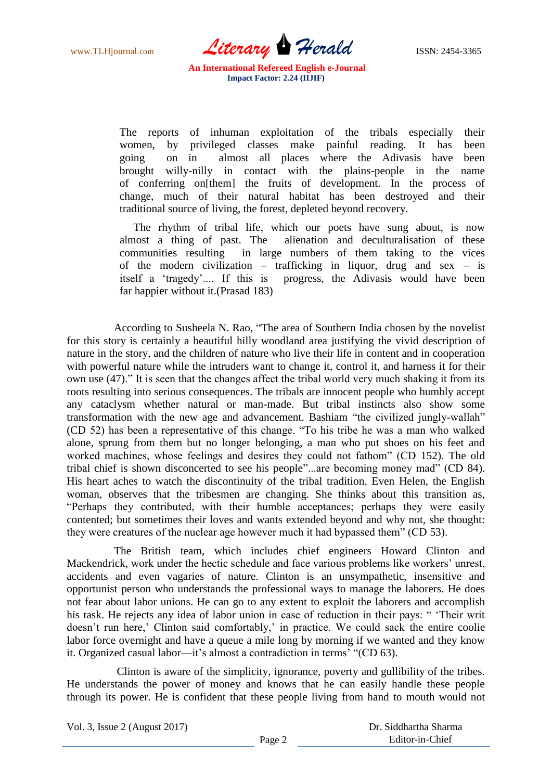www.TLHjournal.com *Literary Herald*ISSN: 2454-3365

The reports of inhuman exploitation of the tribals especially their women, by privileged classes make painful reading. It has been going on in almost all places where the Adivasis have been brought willy-nilly in contact with the plains-people in the name of conferring on[them] the fruits of development. In the process of change, much of their natural habitat has been destroyed and their traditional source of living, the forest, depleted beyond recovery.

The rhythm of tribal life, which our poets have sung about, is now almost a thing of past. The alienation and deculturalisation of these communities resulting in large numbers of them taking to the vices of the modern civilization – trafficking in liquor, drug and sex – is itself a 'tragedy'.... If this is progress, the Adivasis would have been far happier without it.(Prasad 183)

According to Susheela N. Rao, "The area of Southern India chosen by the novelist for this story is certainly a beautiful hilly woodland area justifying the vivid description of nature in the story, and the children of nature who live their life in content and in cooperation with powerful nature while the intruders want to change it, control it, and harness it for their own use (47)." It is seen that the changes affect the tribal world very much shaking it from its roots resulting into serious consequences. The tribals are innocent people who humbly accept any cataclysm whether natural or man-made. But tribal instincts also show some transformation with the new age and advancement. Bashiam "the civilized jungly-wallah" (CD 52) has been a representative of this change. "To his tribe he was a man who walked alone, sprung from them but no longer belonging, a man who put shoes on his feet and worked machines, whose feelings and desires they could not fathom" (CD 152). The old tribal chief is shown disconcerted to see his people"...are becoming money mad" (CD 84). His heart aches to watch the discontinuity of the tribal tradition. Even Helen, the English woman, observes that the tribesmen are changing. She thinks about this transition as, ―Perhaps they contributed, with their humble acceptances; perhaps they were easily contented; but sometimes their loves and wants extended beyond and why not, she thought: they were creatures of the nuclear age however much it had bypassed them<sup>"</sup> (CD 53).

 The British team, which includes chief engineers Howard Clinton and Mackendrick, work under the hectic schedule and face various problems like workers' unrest, accidents and even vagaries of nature. Clinton is an unsympathetic, insensitive and opportunist person who understands the professional ways to manage the laborers. He does not fear about labor unions. He can go to any extent to exploit the laborers and accomplish his task. He rejects any idea of labor union in case of reduction in their pays: " 'Their writ doesn't run here,' Clinton said comfortably,' in practice. We could sack the entire coolie labor force overnight and have a queue a mile long by morning if we wanted and they know it. Organized casual labor—it's almost a contradiction in terms' "(CD 63).

 Clinton is aware of the simplicity, ignorance, poverty and gullibility of the tribes. He understands the power of money and knows that he can easily handle these people through its power. He is confident that these people living from hand to mouth would not

Vol. 3, Issue 2 (August 2017)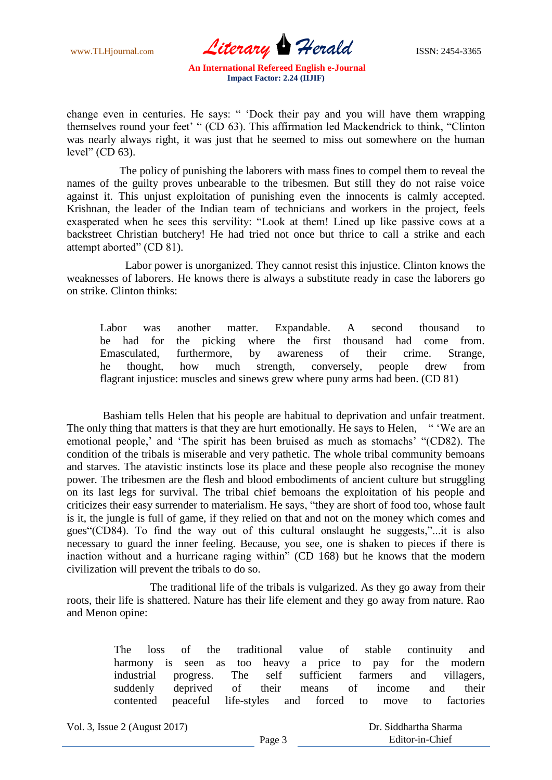www.TLHjournal.com *Literary Herald*ISSN: 2454-3365

change even in centuries. He says: " 'Dock their pay and you will have them wrapping themselves round your feet' " (CD 63). This affirmation led Mackendrick to think, "Clinton was nearly always right, it was just that he seemed to miss out somewhere on the human level"  $(CD 63)$ .

 The policy of punishing the laborers with mass fines to compel them to reveal the names of the guilty proves unbearable to the tribesmen. But still they do not raise voice against it. This unjust exploitation of punishing even the innocents is calmly accepted. Krishnan, the leader of the Indian team of technicians and workers in the project, feels exasperated when he sees this servility: "Look at them! Lined up like passive cows at a backstreet Christian butchery! He had tried not once but thrice to call a strike and each attempt aborted" (CD 81).

 Labor power is unorganized. They cannot resist this injustice. Clinton knows the weaknesses of laborers. He knows there is always a substitute ready in case the laborers go on strike. Clinton thinks:

Labor was another matter. Expandable. A second thousand to be had for the picking where the first thousand had come from. Emasculated, furthermore, by awareness of their crime. Strange, he thought, how much strength, conversely, people drew from flagrant injustice: muscles and sinews grew where puny arms had been. (CD 81)

 Bashiam tells Helen that his people are habitual to deprivation and unfair treatment. The only thing that matters is that they are hurt emotionally. He says to Helen, "We are an emotional people,' and 'The spirit has been bruised as much as stomachs' "(CD82). The condition of the tribals is miserable and very pathetic. The whole tribal community bemoans and starves. The atavistic instincts lose its place and these people also recognise the money power. The tribesmen are the flesh and blood embodiments of ancient culture but struggling on its last legs for survival. The tribal chief bemoans the exploitation of his people and criticizes their easy surrender to materialism. He says, "they are short of food too, whose fault is it, the jungle is full of game, if they relied on that and not on the money which comes and goes"(CD84). To find the way out of this cultural onslaught he suggests,"...it is also necessary to guard the inner feeling. Because, you see, one is shaken to pieces if there is inaction without and a hurricane raging within" (CD 168) but he knows that the modern civilization will prevent the tribals to do so.

 The traditional life of the tribals is vulgarized. As they go away from their roots, their life is shattered. Nature has their life element and they go away from nature. Rao and Menon opine:

> The loss of the traditional value of stable continuity and harmony is seen as too heavy a price to pay for the modern industrial progress. The self sufficient farmers and villagers, suddenly deprived of their means of income and their contented peaceful life-styles and forced to move to factories

Vol. 3, Issue 2 (August 2017)

 Dr. Siddhartha Sharma Editor-in-Chief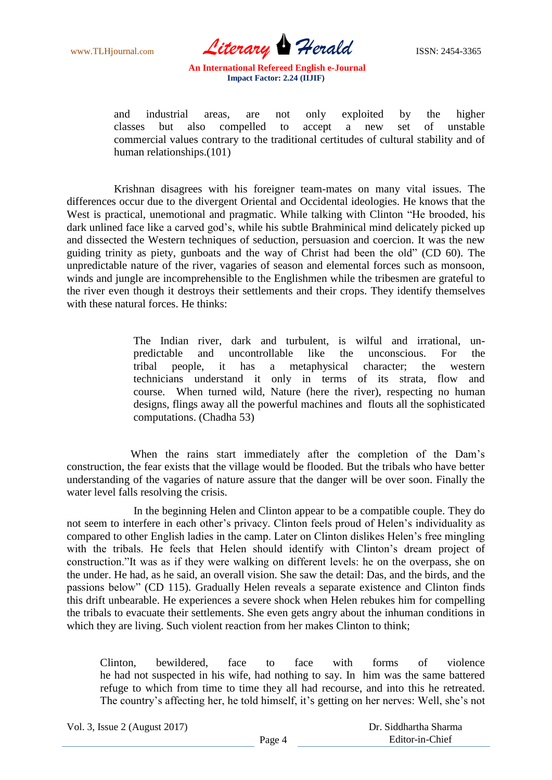www.TLHjournal.com *Literary Herald* ISSN: 2454-3365

and industrial areas, are not only exploited by the higher classes but also compelled to accept a new set of unstable commercial values contrary to the traditional certitudes of cultural stability and of human relationships.(101)

 Krishnan disagrees with his foreigner team-mates on many vital issues. The differences occur due to the divergent Oriental and Occidental ideologies. He knows that the West is practical, unemotional and pragmatic. While talking with Clinton "He brooded, his dark unlined face like a carved god's, while his subtle Brahminical mind delicately picked up and dissected the Western techniques of seduction, persuasion and coercion. It was the new guiding trinity as piety, gunboats and the way of Christ had been the old" (CD 60). The unpredictable nature of the river, vagaries of season and elemental forces such as monsoon, winds and jungle are incomprehensible to the Englishmen while the tribesmen are grateful to the river even though it destroys their settlements and their crops. They identify themselves with these natural forces. He thinks:

> The Indian river, dark and turbulent, is wilful and irrational, unpredictable and uncontrollable like the unconscious. For the tribal people, it has a metaphysical character; the western technicians understand it only in terms of its strata, flow and course. When turned wild, Nature (here the river), respecting no human designs, flings away all the powerful machines and flouts all the sophisticated computations. (Chadha 53)

 When the rains start immediately after the completion of the Dam's construction, the fear exists that the village would be flooded. But the tribals who have better understanding of the vagaries of nature assure that the danger will be over soon. Finally the water level falls resolving the crisis.

 In the beginning Helen and Clinton appear to be a compatible couple. They do not seem to interfere in each other's privacy. Clinton feels proud of Helen's individuality as compared to other English ladies in the camp. Later on Clinton dislikes Helen's free mingling with the tribals. He feels that Helen should identify with Clinton's dream project of construction."It was as if they were walking on different levels: he on the overpass, she on the under. He had, as he said, an overall vision. She saw the detail: Das, and the birds, and the passions below" (CD 115). Gradually Helen reveals a separate existence and Clinton finds this drift unbearable. He experiences a severe shock when Helen rebukes him for compelling the tribals to evacuate their settlements. She even gets angry about the inhuman conditions in which they are living. Such violent reaction from her makes Clinton to think;

Clinton, bewildered, face to face with forms of violence he had not suspected in his wife, had nothing to say. In him was the same battered refuge to which from time to time they all had recourse, and into this he retreated. The country's affecting her, he told himself, it's getting on her nerves: Well, she's not

Vol. 3, Issue 2 (August 2017)